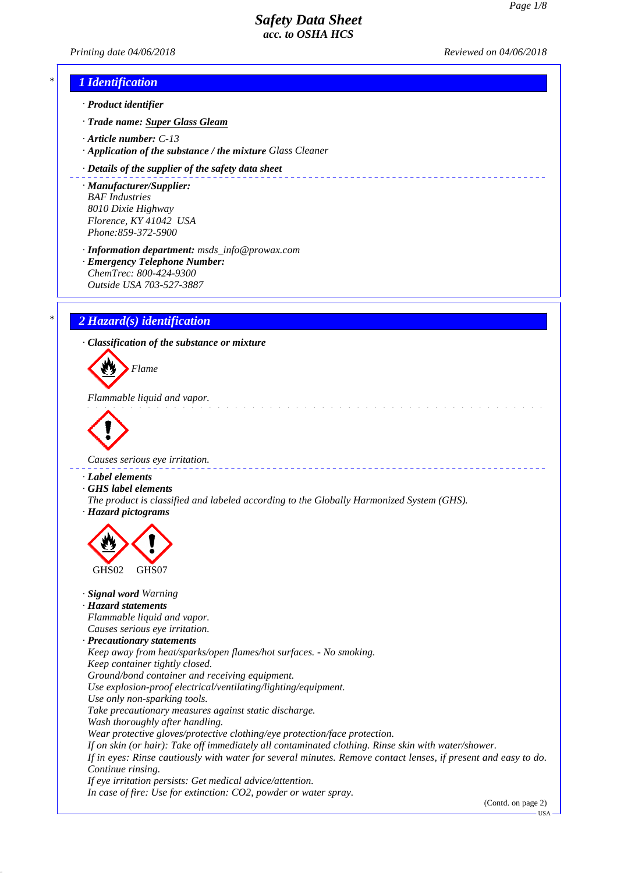# *Printing date 04/06/2018 Reviewed on 04/06/2018 \* 1 Identification · Product identifier · Trade name: Super Glass Gleam · Article number: C-13 · Application of the substance / the mixture Glass Cleaner · Details of the supplier of the safety data sheet* \_\_\_\_\_\_\_\_\_\_\_\_\_\_\_\_\_\_\_\_\_\_\_\_\_\_\_\_ *· Manufacturer/Supplier: BAF Industries 8010 Dixie Highway Florence, KY 41042 USA Phone:859-372-5900 · Information department: msds\_info@prowax.com · Emergency Telephone Number: ChemTrec: 800-424-9300 Outside USA 703-527-3887 \* 2 Hazard(s) identification · Classification of the substance or mixture Flame Flammable liquid and vapor. Causes serious eye irritation. · Label elements · GHS label elements The product is classified and labeled according to the Globally Harmonized System (GHS). · Hazard pictograms* GHS02 GHS07 *· Signal word Warning · Hazard statements Flammable liquid and vapor. Causes serious eye irritation. · Precautionary statements Keep away from heat/sparks/open flames/hot surfaces. - No smoking. Keep container tightly closed. Ground/bond container and receiving equipment. Use explosion-proof electrical/ventilating/lighting/equipment. Use only non-sparking tools. Take precautionary measures against static discharge. Wash thoroughly after handling. Wear protective gloves/protective clothing/eye protection/face protection. If on skin (or hair): Take off immediately all contaminated clothing. Rinse skin with water/shower. If in eyes: Rinse cautiously with water for several minutes. Remove contact lenses, if present and easy to do. Continue rinsing. If eye irritation persists: Get medical advice/attention.*

*In case of fire: Use for extinction: CO2, powder or water spray.*

(Contd. on page 2)

USA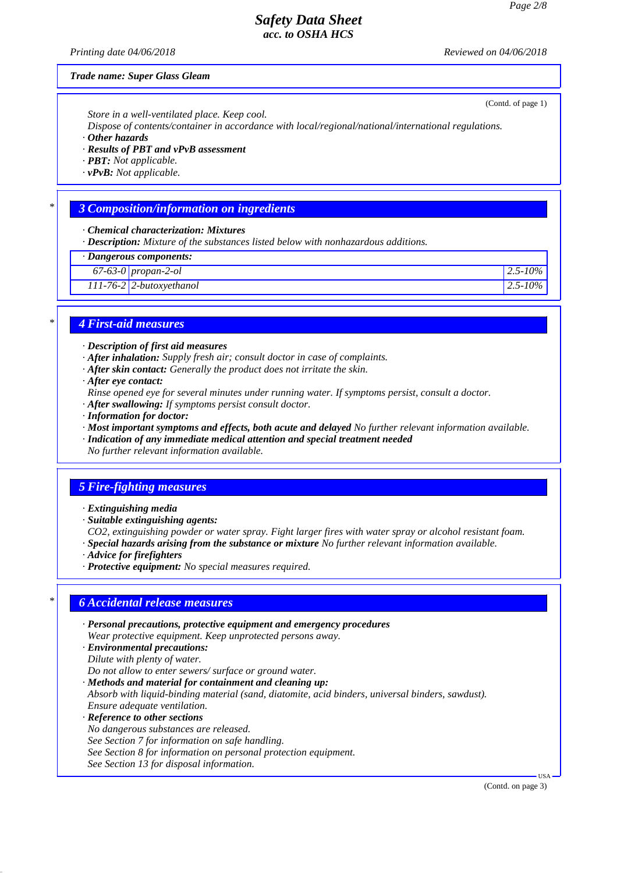*Printing date 04/06/2018 Reviewed on 04/06/2018*

#### *Trade name: Super Glass Gleam*

*Store in a well-ventilated place. Keep cool.*

*Dispose of contents/container in accordance with local/regional/national/international regulations.*

*· Other hazards*

- *· Results of PBT and vPvB assessment*
- *· PBT: Not applicable.*
- *· vPvB: Not applicable.*

#### *\* 3 Composition/information on ingredients*

*· Chemical characterization: Mixtures*

*· Description: Mixture of the substances listed below with nonhazardous additions.*

*· Dangerous components:*

*67-63-0 propan-2-ol 2.5-10%*

*111-76-2 2-butoxyethanol 2.5-10%*

#### *\* 4 First-aid measures*

- *· Description of first aid measures*
- *· After inhalation: Supply fresh air; consult doctor in case of complaints.*
- *· After skin contact: Generally the product does not irritate the skin.*
- *· After eye contact:*
- *Rinse opened eye for several minutes under running water. If symptoms persist, consult a doctor.*
- *· After swallowing: If symptoms persist consult doctor.*
- *· Information for doctor:*
- *· Most important symptoms and effects, both acute and delayed No further relevant information available.*
- *· Indication of any immediate medical attention and special treatment needed No further relevant information available.*

#### *5 Fire-fighting measures*

- *· Extinguishing media*
- *· Suitable extinguishing agents:*

*CO2, extinguishing powder or water spray. Fight larger fires with water spray or alcohol resistant foam. · Special hazards arising from the substance or mixture No further relevant information available.*

- *· Advice for firefighters*
- *· Protective equipment: No special measures required.*

#### *\* 6 Accidental release measures*

- *· Personal precautions, protective equipment and emergency procedures Wear protective equipment. Keep unprotected persons away.*
- *· Environmental precautions:*
- *Dilute with plenty of water.*
- *Do not allow to enter sewers/ surface or ground water.*

*· Methods and material for containment and cleaning up: Absorb with liquid-binding material (sand, diatomite, acid binders, universal binders, sawdust). Ensure adequate ventilation.*

- *· Reference to other sections*
- *No dangerous substances are released.*
- *See Section 7 for information on safe handling.*
- *See Section 8 for information on personal protection equipment.*
- *See Section 13 for disposal information.*

(Contd. on page 3)

L<sub>IC</sub>

(Contd. of page 1)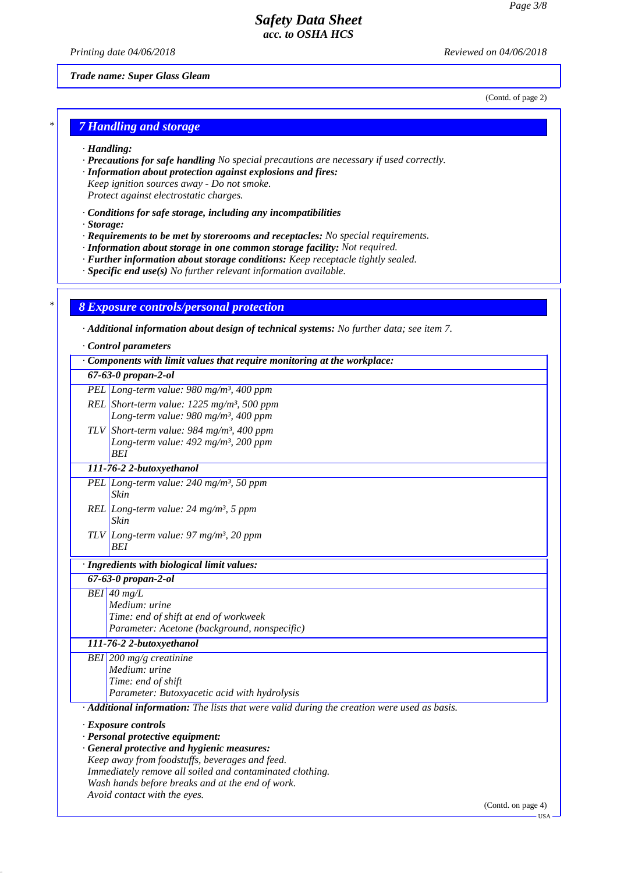*Printing date 04/06/2018 Reviewed on 04/06/2018*

*Trade name: Super Glass Gleam*

(Contd. of page 2)

### *\* 7 Handling and storage*

- *· Handling:*
- *· Precautions for safe handling No special precautions are necessary if used correctly.*
- *· Information about protection against explosions and fires:*
- *Keep ignition sources away Do not smoke. Protect against electrostatic charges.*
- *· Conditions for safe storage, including any incompatibilities*
- *· Storage:*
- *· Requirements to be met by storerooms and receptacles: No special requirements.*
- *· Information about storage in one common storage facility: Not required.*
- *· Further information about storage conditions: Keep receptacle tightly sealed.*
- *· Specific end use(s) No further relevant information available.*

#### *\* 8 Exposure controls/personal protection*

*· Additional information about design of technical systems: No further data; see item 7.*

*· Control parameters*

| 67-63-0 propan-2-ol<br>PEL Long-term value: 980 mg/m <sup>3</sup> , 400 ppm<br>REL Short-term value: $1225$ mg/m <sup>3</sup> , 500 ppm<br>Long-term value: 980 mg/m <sup>3</sup> , 400 ppm<br>TLV Short-term value: 984 mg/m <sup>3</sup> , 400 ppm<br>Long-term value: $492$ mg/m <sup>3</sup> , 200 ppm<br>BEI<br>111-76-2 2-butoxyethanol<br>PEL Long-term value: $240$ mg/m <sup>3</sup> , 50 ppm<br>Skin<br>REL Long-term value: $24 \text{ mg/m}^3$ , 5 ppm<br>Skin<br>TLV Long-term value: 97 mg/m <sup>3</sup> , 20 ppm<br><b>BEI</b><br>· Ingredients with biological limit values:<br>67-63-0 propan-2-ol<br>$BEI$ 40 mg/L<br>Medium: urine<br>Time: end of shift at end of workweek<br>Parameter: Acetone (background, nonspecific)<br>111-76-2 2-butoxyethanol<br>BEI 200 mg/g creatinine<br>Medium: urine<br>Time: end of shift<br>Parameter: Butoxyacetic acid with hydrolysis<br>Additional information: The lists that were valid during the creation were used as basis.<br>· Exposure controls<br>· Personal protective equipment:<br>· General protective and hygienic measures:<br>Keep away from foodstuffs, beverages and feed.<br>Immediately remove all soiled and contaminated clothing.<br>Wash hands before breaks and at the end of work. | $\cdot$ Components with limit values that require monitoring at the workplace: |
|------------------------------------------------------------------------------------------------------------------------------------------------------------------------------------------------------------------------------------------------------------------------------------------------------------------------------------------------------------------------------------------------------------------------------------------------------------------------------------------------------------------------------------------------------------------------------------------------------------------------------------------------------------------------------------------------------------------------------------------------------------------------------------------------------------------------------------------------------------------------------------------------------------------------------------------------------------------------------------------------------------------------------------------------------------------------------------------------------------------------------------------------------------------------------------------------------------------------------------------------------------------------|--------------------------------------------------------------------------------|
|                                                                                                                                                                                                                                                                                                                                                                                                                                                                                                                                                                                                                                                                                                                                                                                                                                                                                                                                                                                                                                                                                                                                                                                                                                                                        |                                                                                |
|                                                                                                                                                                                                                                                                                                                                                                                                                                                                                                                                                                                                                                                                                                                                                                                                                                                                                                                                                                                                                                                                                                                                                                                                                                                                        |                                                                                |
|                                                                                                                                                                                                                                                                                                                                                                                                                                                                                                                                                                                                                                                                                                                                                                                                                                                                                                                                                                                                                                                                                                                                                                                                                                                                        |                                                                                |
|                                                                                                                                                                                                                                                                                                                                                                                                                                                                                                                                                                                                                                                                                                                                                                                                                                                                                                                                                                                                                                                                                                                                                                                                                                                                        |                                                                                |
|                                                                                                                                                                                                                                                                                                                                                                                                                                                                                                                                                                                                                                                                                                                                                                                                                                                                                                                                                                                                                                                                                                                                                                                                                                                                        |                                                                                |
|                                                                                                                                                                                                                                                                                                                                                                                                                                                                                                                                                                                                                                                                                                                                                                                                                                                                                                                                                                                                                                                                                                                                                                                                                                                                        |                                                                                |
|                                                                                                                                                                                                                                                                                                                                                                                                                                                                                                                                                                                                                                                                                                                                                                                                                                                                                                                                                                                                                                                                                                                                                                                                                                                                        |                                                                                |
|                                                                                                                                                                                                                                                                                                                                                                                                                                                                                                                                                                                                                                                                                                                                                                                                                                                                                                                                                                                                                                                                                                                                                                                                                                                                        |                                                                                |
|                                                                                                                                                                                                                                                                                                                                                                                                                                                                                                                                                                                                                                                                                                                                                                                                                                                                                                                                                                                                                                                                                                                                                                                                                                                                        |                                                                                |
|                                                                                                                                                                                                                                                                                                                                                                                                                                                                                                                                                                                                                                                                                                                                                                                                                                                                                                                                                                                                                                                                                                                                                                                                                                                                        |                                                                                |
|                                                                                                                                                                                                                                                                                                                                                                                                                                                                                                                                                                                                                                                                                                                                                                                                                                                                                                                                                                                                                                                                                                                                                                                                                                                                        |                                                                                |
|                                                                                                                                                                                                                                                                                                                                                                                                                                                                                                                                                                                                                                                                                                                                                                                                                                                                                                                                                                                                                                                                                                                                                                                                                                                                        |                                                                                |
|                                                                                                                                                                                                                                                                                                                                                                                                                                                                                                                                                                                                                                                                                                                                                                                                                                                                                                                                                                                                                                                                                                                                                                                                                                                                        |                                                                                |
|                                                                                                                                                                                                                                                                                                                                                                                                                                                                                                                                                                                                                                                                                                                                                                                                                                                                                                                                                                                                                                                                                                                                                                                                                                                                        |                                                                                |
| Avoid contact with the eyes.<br>(Contd. on page 4)                                                                                                                                                                                                                                                                                                                                                                                                                                                                                                                                                                                                                                                                                                                                                                                                                                                                                                                                                                                                                                                                                                                                                                                                                     |                                                                                |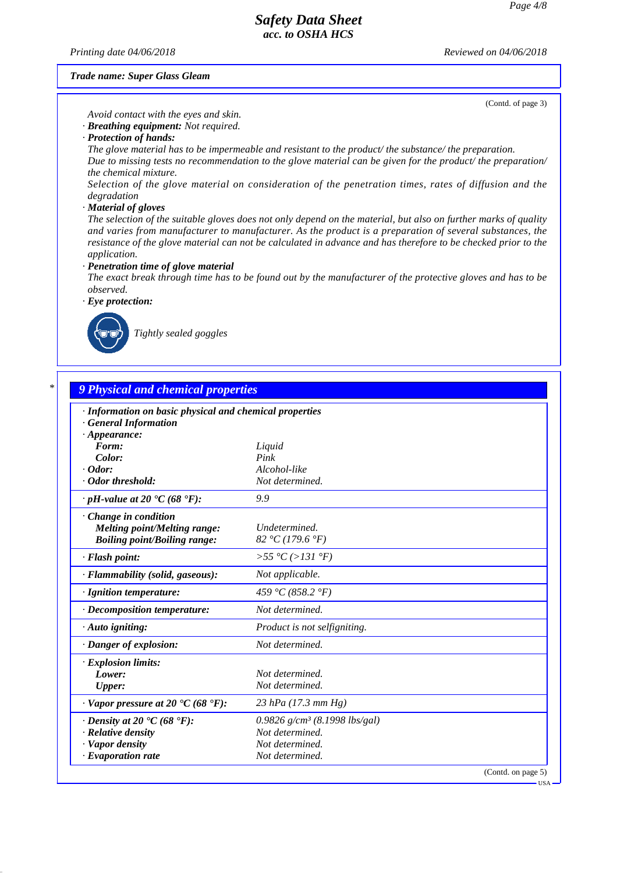*Printing date 04/06/2018 Reviewed on 04/06/2018*

*Trade name: Super Glass Gleam*

(Contd. of page 3)

*Avoid contact with the eyes and skin.*

*· Breathing equipment: Not required.*

*· Protection of hands:*

*The glove material has to be impermeable and resistant to the product/ the substance/ the preparation. Due to missing tests no recommendation to the glove material can be given for the product/ the preparation/*

*the chemical mixture.*

*Selection of the glove material on consideration of the penetration times, rates of diffusion and the degradation*

#### *· Material of gloves*

*The selection of the suitable gloves does not only depend on the material, but also on further marks of quality and varies from manufacturer to manufacturer. As the product is a preparation of several substances, the resistance of the glove material can not be calculated in advance and has therefore to be checked prior to the application.*

*· Penetration time of glove material*

*The exact break through time has to be found out by the manufacturer of the protective gloves and has to be observed.*

*· Eye protection:*



*Tightly sealed goggles*

| · Information on basic physical and chemical properties            |                                             |  |
|--------------------------------------------------------------------|---------------------------------------------|--|
| <b>General Information</b>                                         |                                             |  |
| $\cdot$ Appearance:                                                |                                             |  |
| Form:                                                              | Liquid                                      |  |
| Color:                                                             | Pink                                        |  |
| $\cdot$ Odor:<br>· Odor threshold:                                 | Alcohol-like<br>Not determined.             |  |
|                                                                    |                                             |  |
| $\cdot$ pH-value at 20 $\textdegree$ C (68 $\textdegree$ F):       | 9.9                                         |  |
| Change in condition                                                |                                             |  |
| Melting point/Melting range:                                       | Undetermined.                               |  |
| <b>Boiling point/Boiling range:</b>                                | 82 °C (179.6 °F)                            |  |
| · Flash point:                                                     | >55 °C (>131 °F)                            |  |
| · Flammability (solid, gaseous):                                   | Not applicable.                             |  |
| · Ignition temperature:                                            | 459 °C (858.2 °F)                           |  |
| · Decomposition temperature:                                       | Not determined.                             |  |
| $\cdot$ Auto igniting:                                             | Product is not selfigniting.                |  |
| · Danger of explosion:                                             | Not determined.                             |  |
| · Explosion limits:                                                |                                             |  |
| Lower:                                                             | Not determined.                             |  |
| <b>Upper:</b>                                                      | Not determined.                             |  |
| $\cdot$ Vapor pressure at 20 $\textdegree$ C (68 $\textdegree$ F): | $23$ hPa (17.3 mm Hg)                       |  |
| $\cdot$ Density at 20 $\cdot$ C (68 $\cdot$ F):                    | $0.9826$ g/cm <sup>3</sup> (8.1998 lbs/gal) |  |
| · Relative density                                                 | Not determined.                             |  |
| · Vapor density                                                    | Not determined.                             |  |
| $\cdot$ Evaporation rate                                           | Not determined.                             |  |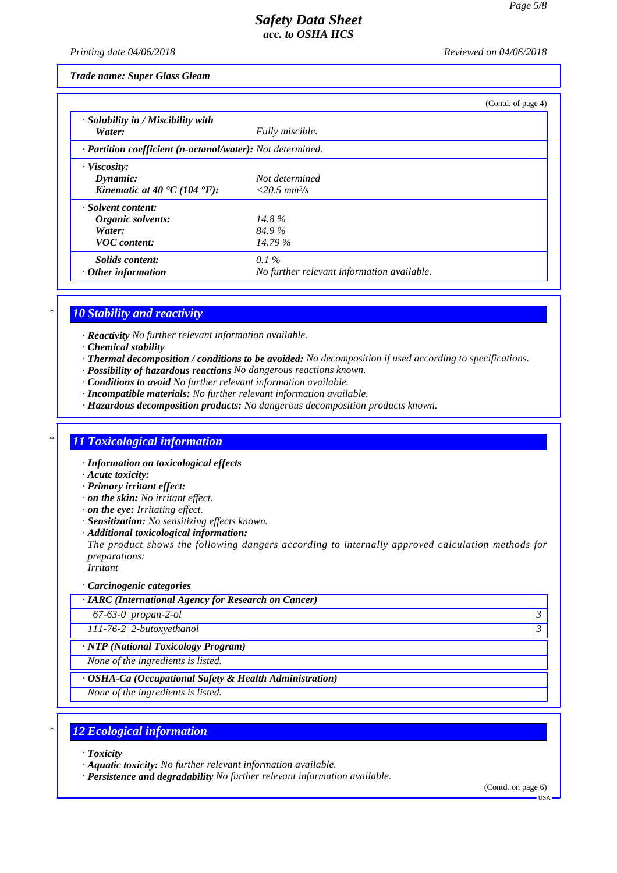*Printing date 04/06/2018 Reviewed on 04/06/2018*

*Trade name: Super Glass Gleam*

|                                                                                          |                                                       | (Contd. of page 4) |
|------------------------------------------------------------------------------------------|-------------------------------------------------------|--------------------|
| · Solubility in / Miscibility with<br>Water:                                             | Fully miscible.                                       |                    |
| · Partition coefficient (n-octanol/water): Not determined.                               |                                                       |                    |
| $\cdot$ Viscosity:<br>Dynamic:<br>Kinematic at 40 $\textdegree$ C (104 $\textdegree$ F): | Not determined<br>$<20.5$ mm <sup>2</sup> /s          |                    |
| · Solvent content:<br>Organic solvents:<br>Water:<br><b>VOC</b> content:                 | 14.8%<br>84.9%<br>14.79%                              |                    |
| <i>Solids content:</i><br>$\cdot$ Other information                                      | $0.1\%$<br>No further relevant information available. |                    |

# *\* 10 Stability and reactivity*

*· Reactivity No further relevant information available.*

- *· Chemical stability*
- *· Thermal decomposition / conditions to be avoided: No decomposition if used according to specifications.*
- *· Possibility of hazardous reactions No dangerous reactions known.*
- *· Conditions to avoid No further relevant information available.*
- *· Incompatible materials: No further relevant information available.*
- *· Hazardous decomposition products: No dangerous decomposition products known.*

#### *\* 11 Toxicological information*

- *· Information on toxicological effects*
- *· Acute toxicity:*
- *· Primary irritant effect:*
- *· on the skin: No irritant effect.*
- *· on the eye: Irritating effect.*
- *· Sensitization: No sensitizing effects known.*
- *· Additional toxicological information:*

*The product shows the following dangers according to internally approved calculation methods for preparations:*

*Irritant*

*· Carcinogenic categories*

*· IARC (International Agency for Research on Cancer)*

*67-63-0 propan-2-ol 3* 

*111-76-2 2-butoxyethanol 3* 

*· NTP (National Toxicology Program)*

*None of the ingredients is listed.*

*· OSHA-Ca (Occupational Safety & Health Administration)*

*None of the ingredients is listed.*

#### *\* 12 Ecological information*

- *· Toxicity*
- *· Aquatic toxicity: No further relevant information available.*
- *· Persistence and degradability No further relevant information available.*

(Contd. on page 6)

USA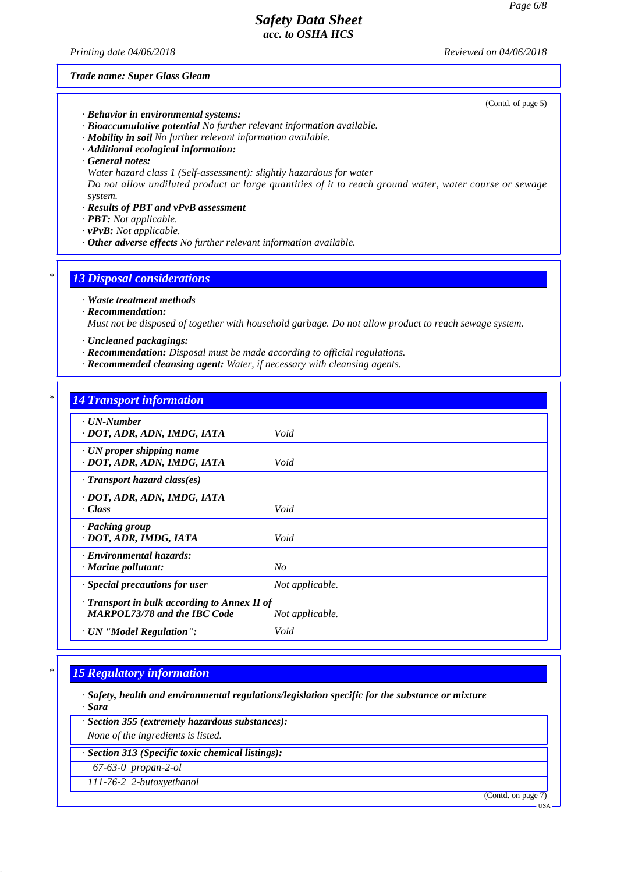*Printing date 04/06/2018 Reviewed on 04/06/2018*

(Contd. of page 5)

*Trade name: Super Glass Gleam*

- *· Behavior in environmental systems:*
- *· Bioaccumulative potential No further relevant information available.*
- *· Mobility in soil No further relevant information available.*
- *· Additional ecological information:*
- *· General notes:*
- *Water hazard class 1 (Self-assessment): slightly hazardous for water*

*Do not allow undiluted product or large quantities of it to reach ground water, water course or sewage system.*

- *· Results of PBT and vPvB assessment*
- *· PBT: Not applicable.*
- *· vPvB: Not applicable.*
- *· Other adverse effects No further relevant information available.*

#### *\* 13 Disposal considerations*

*· Waste treatment methods*

*· Recommendation:*

*Must not be disposed of together with household garbage. Do not allow product to reach sewage system.*

- *· Uncleaned packagings:*
- *· Recommendation: Disposal must be made according to official regulations.*
- *· Recommended cleansing agent: Water, if necessary with cleansing agents.*

### *\* 14 Transport information*

| $\cdot$ UN-Number<br>· DOT, ADR, ADN, IMDG, IATA                                    | Void            |
|-------------------------------------------------------------------------------------|-----------------|
| $\cdot$ UN proper shipping name<br>· DOT, ADR, ADN, IMDG, IATA                      | Void            |
| $\cdot$ Transport hazard class(es)                                                  |                 |
| · DOT, ADR, ADN, IMDG, IATA<br>$\cdot Class$                                        | Void            |
| · Packing group<br>· DOT, ADR, IMDG, IATA                                           | Void            |
| · Environmental hazards:<br>$\cdot$ Marine pollutant:                               | $N_{O}$         |
| $\cdot$ Special precautions for user                                                | Not applicable. |
| · Transport in bulk according to Annex II of<br><b>MARPOL73/78 and the IBC Code</b> | Not applicable. |
| · UN "Model Regulation":                                                            | Void            |

### *\* 15 Regulatory information*

*· Safety, health and environmental regulations/legislation specific for the substance or mixture · Sara*

- *· Section 355 (extremely hazardous substances):*
- *None of the ingredients is listed.*

*· Section 313 (Specific toxic chemical listings):*

*67-63-0 propan-2-ol*

*111-76-2 2-butoxyethanol*

(Contd. on page 7)

USA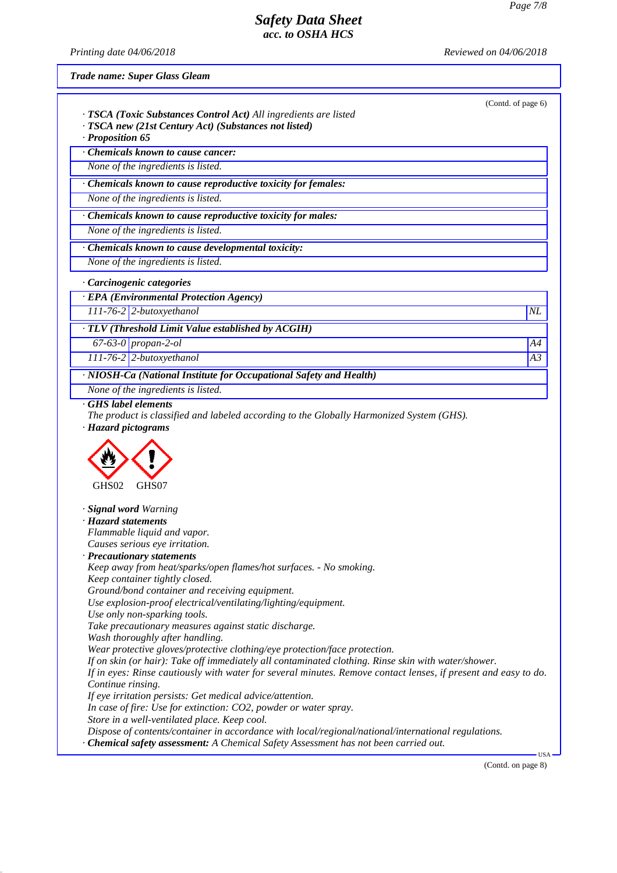*Printing date 04/06/2018 Reviewed on 04/06/2018*

*Trade name: Super Glass Gleam*

| · TSCA (Toxic Substances Control Act) All ingredients are listed<br>· TSCA new (21st Century Act) (Substances not listed)                                                                                                  | (Contd. of page 6) |
|----------------------------------------------------------------------------------------------------------------------------------------------------------------------------------------------------------------------------|--------------------|
| · Proposition 65                                                                                                                                                                                                           |                    |
| Chemicals known to cause cancer:                                                                                                                                                                                           |                    |
| None of the ingredients is listed.                                                                                                                                                                                         |                    |
| · Chemicals known to cause reproductive toxicity for females:                                                                                                                                                              |                    |
| None of the ingredients is listed.                                                                                                                                                                                         |                    |
| · Chemicals known to cause reproductive toxicity for males:                                                                                                                                                                |                    |
| None of the ingredients is listed.                                                                                                                                                                                         |                    |
| · Chemicals known to cause developmental toxicity:                                                                                                                                                                         |                    |
| None of the ingredients is listed.                                                                                                                                                                                         |                    |
| · Carcinogenic categories                                                                                                                                                                                                  |                    |
| · EPA (Environmental Protection Agency)                                                                                                                                                                                    |                    |
| $111-76-2$ 2-butoxyethanol                                                                                                                                                                                                 | $N\!L$             |
|                                                                                                                                                                                                                            |                    |
| · TLV (Threshold Limit Value established by ACGIH)                                                                                                                                                                         |                    |
| $67-63-0$ propan-2-ol<br>$111-76-2$ 2-butoxyethanol                                                                                                                                                                        | A4<br>A3           |
|                                                                                                                                                                                                                            |                    |
| · NIOSH-Ca (National Institute for Occupational Safety and Health)<br>None of the ingredients is listed.                                                                                                                   |                    |
|                                                                                                                                                                                                                            |                    |
|                                                                                                                                                                                                                            |                    |
| GHS02<br>GHS07                                                                                                                                                                                                             |                    |
|                                                                                                                                                                                                                            |                    |
|                                                                                                                                                                                                                            |                    |
| Flammable liquid and vapor.                                                                                                                                                                                                |                    |
| <i>Causes serious eve irritation.</i>                                                                                                                                                                                      |                    |
| Keep away from heat/sparks/open flames/hot surfaces. - No smoking.                                                                                                                                                         |                    |
| Keep container tightly closed.                                                                                                                                                                                             |                    |
| Ground/bond container and receiving equipment.                                                                                                                                                                             |                    |
| Use explosion-proof electrical/ventilating/lighting/equipment.                                                                                                                                                             |                    |
| Use only non-sparking tools.<br>Take precautionary measures against static discharge.                                                                                                                                      |                    |
| Wash thoroughly after handling.                                                                                                                                                                                            |                    |
| Wear protective gloves/protective clothing/eye protection/face protection.                                                                                                                                                 |                    |
| If on skin (or hair): Take off immediately all contaminated clothing. Rinse skin with water/shower.                                                                                                                        |                    |
| · Hazard pictograms<br>· <b>Signal word</b> Warning<br>· Hazard statements<br>· Precautionary statements<br>If in eyes: Rinse cautiously with water for several minutes. Remove contact lenses, if present and easy to do. |                    |
| Continue rinsing.<br>If eye irritation persists: Get medical advice/attention.                                                                                                                                             |                    |
| In case of fire: Use for extinction: CO2, powder or water spray.                                                                                                                                                           |                    |
| Store in a well-ventilated place. Keep cool.<br>Dispose of contents/container in accordance with local/regional/national/international regulations.                                                                        |                    |

(Contd. on page 8)